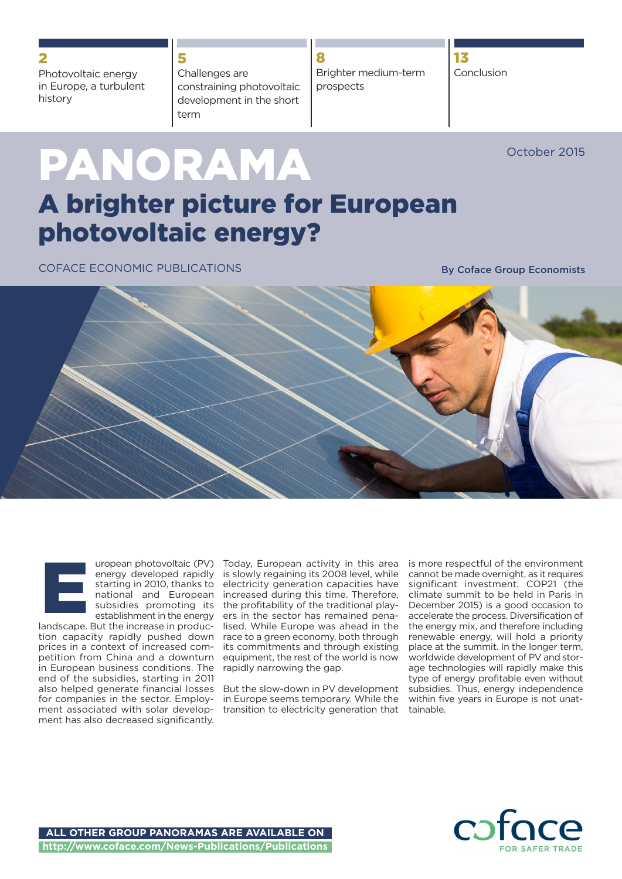Photovoltaic energy in Europe, a turbulent history

Challenges are constraining photovoltaic development in the short term

**8** Brighter medium-term prospects

**13** Conclusion

October 2015

# **PANORAMA A brighter picture for European**

**5**

**photovoltaic energy?**

COFACE ECONOMIC PUBLICATIONS **By Coface Group Economists**





landscape. But the increase in production capacity rapidly pushed down prices in a context of increased competition from China and a downturn in European business conditions. The end of the subsidies, starting in 2011 also helped generate financial losses for companies in the sector. Employment associated with solar development has also decreased significantly.

Today, European activity in this area is slowly regaining its 2008 level, while electricity generation capacities have increased during this time. Therefore, the profitability of the traditional players in the sector has remained penalised. While Europe was ahead in the race to a green economy, both through its commitments and through existing equipment, the rest of the world is now rapidly narrowing the gap.

But the slow-down in PV development in Europe seems temporary. While the transition to electricity generation that is more respectful of the environment cannot be made overnight, as it requires significant investment, COP21 (the climate summit to be held in Paris in December 2015) is a good occasion to accelerate the process. Diversification of the energy mix, and therefore including renewable energy, will hold a priority place at the summit. In the longer term, worldwide development of PV and storage technologies will rapidly make this type of energy profitable even without subsidies. Thus, energy independence within five years in Europe is not unattainable.

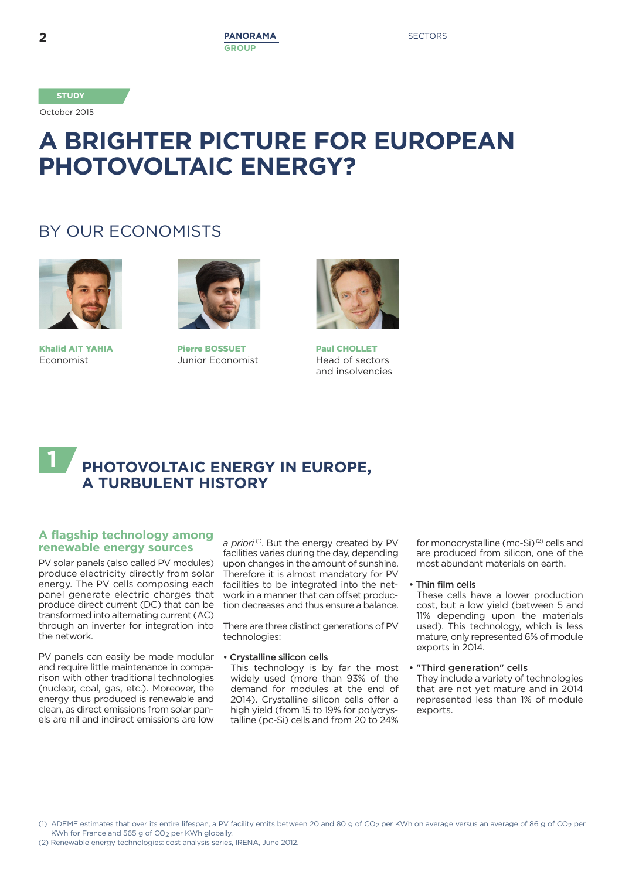October 2015

# **A BRIGHTER PICTURE FOR EUROPEAN PHOTOVOLTAIC ENERGY?**

# BY OUR ECONOMISTS



**Khalid AIT YAHIA** Economist



**Pierre BOSSUET** Junior Economist



**Paul CHOLLET** Head of sectors and insolvencies

## **PHOTOVOLTAIC ENERGY IN EUROPE, A TURBULENT HISTORY 1**

#### **A flagship technology among renewable energy sources**

PV solar panels (also called PV modules) produce electricity directly from solar energy. The PV cells composing each panel generate electric charges that produce direct current (DC) that can be transformed into alternating current (AC) through an inverter for integration into the network.

PV panels can easily be made modular and require little maintenance in comparison with other traditional technologies (nuclear, coal, gas, etc.). Moreover, the energy thus produced is renewable and clean, as direct emissions from solar panels are nil and indirect emissions are low

a *priori*<sup>(1)</sup>. But the energy created by PV facilities varies during the day, depending upon changes in the amount of sunshine. Therefore it is almost mandatory for PV facilities to be integrated into the network in a manner that can offset production decreases and thus ensure a balance.

There are three distinct generations of PV technologies:

**• Crystalline silicon cells**

This technology is by far the most widely used (more than 93% of the demand for modules at the end of 2014). Crystalline silicon cells offer a high yield (from 15 to 19% for polycrystalline (pc-Si) cells and from 20 to 24%

for monocrystalline (mc-Si)<sup>(2)</sup> cells and are produced from silicon, one of the most abundant materials on earth.

#### **• Thin film cells**

These cells have a lower production cost, but a low yield (between 5 and 11% depending upon the materials used). This technology, which is less mature, only represented 6% of module exports in 2014.

**• "Third generation" cells**

They include a variety of technologies that are not yet mature and in 2014 represented less than 1% of module exports

(1) ADEME estimates that over its entire lifespan, a PV facility emits between 20 and 80 g of CO<sub>2</sub> per KWh on average versus an average of 86 g of CO<sub>2</sub> per KWh for France and 565 g of CO<sub>2</sub> per KWh globally.

(2) Renewable energy technologies: cost analysis series, IRENA, June 2012.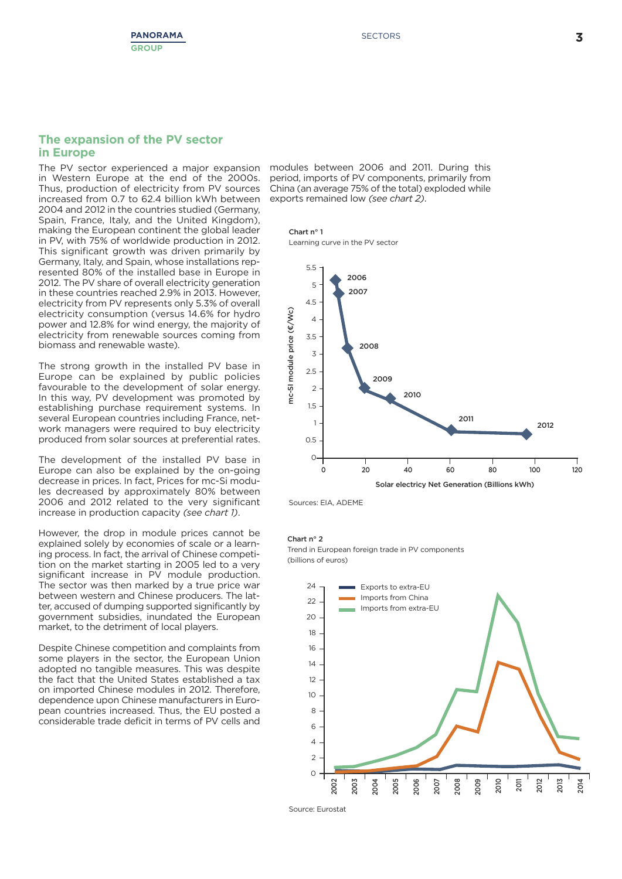#### **The expansion of the PV sector in Europe**

in Western Europe at the end of the 2000s. Thus, production of electricity from PV sources increased from 0.7 to 62.4 billion kWh between 2004 and 2012 in the countries studied (Germany, Spain, France, Italy, and the United Kingdom), making the European continent the global leader in PV, with 75% of worldwide production in 2012. This significant growth was driven primarily by Germany, Italy, and Spain, whose installations represented 80% of the installed base in Europe in 2012. The PV share of overall electricity generation in these countries reached 2.9% in 2013. However, electricity from PV represents only 5.3% of overall electricity consumption (versus 14.6% for hydro power and 12.8% for wind energy, the majority of electricity from renewable sources coming from biomass and renewable waste).

The strong growth in the installed PV base in Europe can be explained by public policies favourable to the development of solar energy. In this way, PV development was promoted by establishing purchase requirement systems. In several European countries including France, network managers were required to buy electricity produced from solar sources at preferential rates.

The development of the installed PV base in Europe can also be explained by the on-going decrease in prices. In fact, Prices for mc-Si modules decreased by approximately 80% between 2006 and 2012 related to the very significant increase in production capacity *(see chart 1)*.

However, the drop in module prices cannot be explained solely by economies of scale or a learning process. In fact, the arrival of Chinese competition on the market starting in 2005 led to a very significant increase in PV module production. The sector was then marked by a true price war between western and Chinese producers. The latter, accused of dumping supported significantly by government subsidies, inundated the European market, to the detriment of local players.

Despite Chinese competition and complaints from some players in the sector, the European Union adopted no tangible measures. This was despite the fact that the United States established a tax on imported Chinese modules in 2012. Therefore, dependence upon Chinese manufacturers in European countries increased. Thus, the EU posted a considerable trade deficit in terms of PV cells and

The PV sector experienced a major expansion modules between 2006 and 2011. During this period, imports of PV components, primarily from China (an average 75% of the total) exploded while exports remained low *(see chart 2)*.

**Chart n° 1** Learning curve in the PV sector



Sources: EIA, ADEME

#### **Chart n° 2**

Trend in European foreign trade in PV components (billions of euros)



Source: Eurostat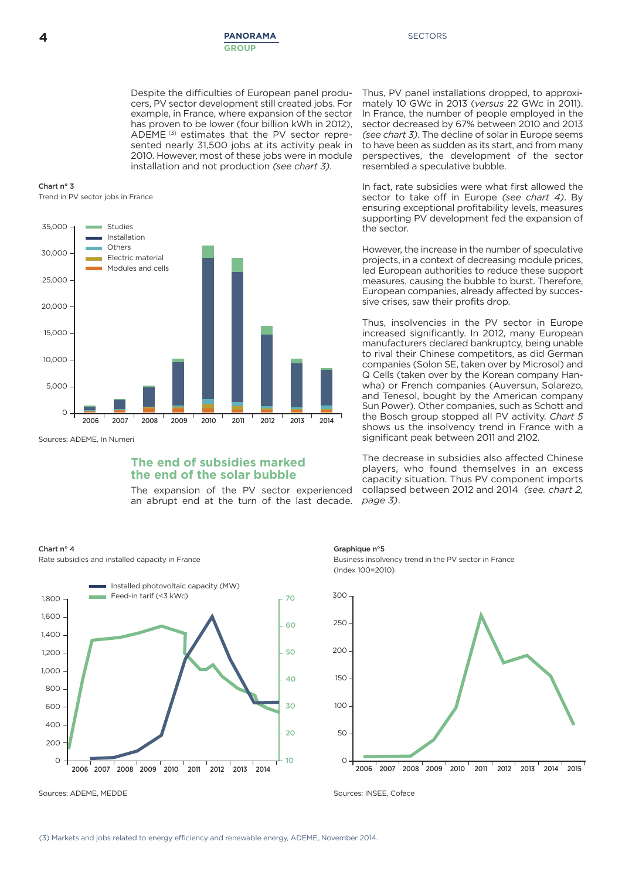Despite the difficulties of European panel producers, PV sector development still created jobs. For example, in France, where expansion of the sector has proven to be lower (four billion kWh in 2012), ADEME (3) estimates that the PV sector represented nearly 31,500 jobs at its activity peak in 2010. However, most of these jobs were in module installation and not production *(see chart 3)*.

**Chart n° 3** Trend in PV sector jobs in France



Sources: ADEME, In Numeri

#### **The end of subsidies marked the end of the solar bubble**

The expansion of the PV sector experienced an abrupt end at the turn of the last decade.

#### **Chart n° 4**

Rate subsidies and installed capacity in France



Sources: ADEME, MEDDE Sources: INSEE, Coface

sector decreased by 67% between 2010 and 2013 *(see chart 3)*. The decline of solar in Europe seems to have been as sudden as its start, and from many perspectives, the development of the sector resembled a speculative bubble. In fact, rate subsidies were what first allowed the sector to take off in Europe *(see chart 4)*. By ensuring exceptional profitability levels, measures

Thus, PV panel installations dropped, to approximately 10 GWc in 2013 (*versus* 22 GWc in 2011). In France, the number of people employed in the

supporting PV development fed the expansion of the sector. However, the increase in the number of speculative

projects, in a context of decreasing module prices, led European authorities to reduce these support measures, causing the bubble to burst. Therefore, European companies, already affected by successive crises, saw their profits drop.

Thus, insolvencies in the PV sector in Europe increased significantly. In 2012, many European manufacturers declared bankruptcy, being unable to rival their Chinese competitors, as did German companies (Solon SE, taken over by Microsol) and Q Cells (taken over by the Korean company Hanwha) or French companies (Auversun, Solarezo, and Tenesol, bought by the American company Sun Power). Other companies, such as Schott and the Bosch group stopped all PV activity. *Chart 5* shows us the insolvency trend in France with a significant peak between 2011 and 2102.

The decrease in subsidies also affected Chinese players, who found themselves in an excess capacity situation. Thus PV component imports collapsed between 2012 and 2014 *(see. chart 2, page 3)*.

#### **Graphique n°5**

Business insolvency trend in the PV sector in France (Index 100=2010)

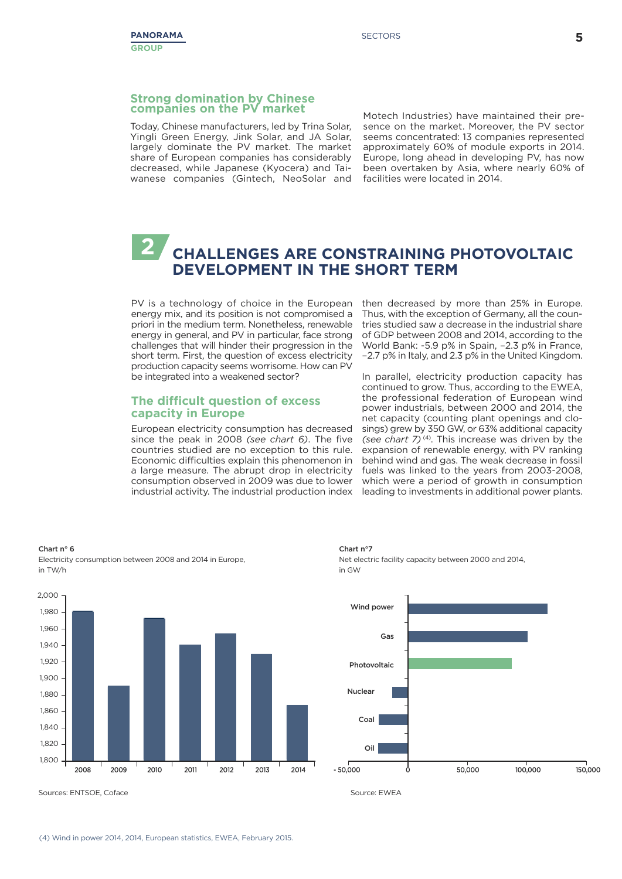#### **Strong domination by Chinese companies on the PV market**

Today, Chinese manufacturers, led by Trina Solar, Yingli Green Energy, Jink Solar, and JA Solar, largely dominate the PV market. The market share of European companies has considerably decreased, while Japanese (Kyocera) and Taiwanese companies (Gintech, NeoSolar and Motech Industries) have maintained their presence on the market. Moreover, the PV sector seems concentrated: 13 companies represented approximately 60% of module exports in 2014. Europe, long ahead in developing PV, has now been overtaken by Asia, where nearly 60% of facilities were located in 2014.

## **CHALLENGES ARE CONSTRAINING PHOTOVOLTAIC DEVELOPMENT IN THE SHORT TERM 2**

PV is a technology of choice in the European energy mix, and its position is not compromised a priori in the medium term. Nonetheless, renewable energy in general, and PV in particular, face strong challenges that will hinder their progression in the short term. First, the question of excess electricity production capacity seems worrisome. How can PV be integrated into a weakened sector?

#### **The difficult question of excess capacity in Europe**

European electricity consumption has decreased since the peak in 2008 *(see chart 6)*. The five countries studied are no exception to this rule. Economic difficulties explain this phenomenon in a large measure. The abrupt drop in electricity consumption observed in 2009 was due to lower industrial activity. The industrial production index

then decreased by more than 25% in Europe. Thus, with the exception of Germany, all the countries studied saw a decrease in the industrial share of GDP between 2008 and 2014, according to the World Bank: -5.9 p% in Spain, -2.3 p% in France, ‑2.7 p% in Italy, and 2.3 p% in the United Kingdom.

In parallel, electricity production capacity has continued to grow. Thus, according to the EWEA, the professional federation of European wind power industrials, between 2000 and 2014, the net capacity (counting plant openings and closings) grew by 350 GW, or 63% additional capacity *(see chart 7)* (4) . This increase was driven by the expansion of renewable energy, with PV ranking behind wind and gas. The weak decrease in fossil fuels was linked to the years from 2003-2008, which were a period of growth in consumption leading to investments in additional power plants.



**Chart n° 6** Electricity consumption between 2008 and 2014 in Europe, in TW/h

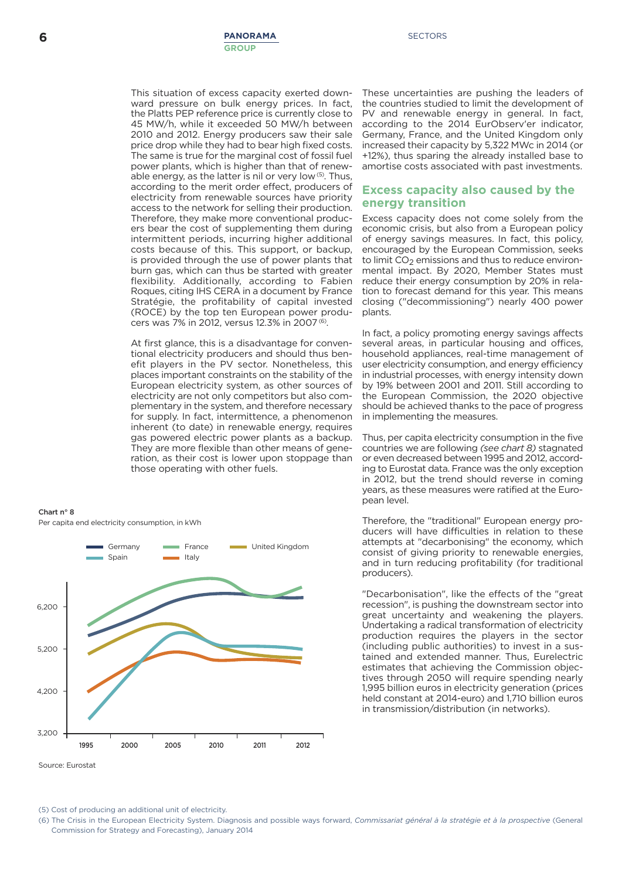This situation of excess capacity exerted downward pressure on bulk energy prices. In fact, the Platts PEP reference price is currently close to 45 MW/h, while it exceeded 50 MW/h between 2010 and 2012. Energy producers saw their sale price drop while they had to bear high fixed costs. The same is true for the marginal cost of fossil fuel power plants, which is higher than that of renewable energy, as the latter is nil or very low<sup>(5)</sup>. Thus, according to the merit order effect, producers of electricity from renewable sources have priority access to the network for selling their production. Therefore, they make more conventional producers bear the cost of supplementing them during intermittent periods, incurring higher additional costs because of this. This support, or backup, is provided through the use of power plants that burn gas, which can thus be started with greater flexibility. Additionally, according to Fabien Roques, citing IHS CERA in a document by France Stratégie, the profitability of capital invested (ROCE) by the top ten European power producers was 7% in 2012, versus 12.3% in 2007 (6).

At first glance, this is a disadvantage for conventional electricity producers and should thus benefit players in the PV sector. Nonetheless, this places important constraints on the stability of the European electricity system, as other sources of electricity are not only competitors but also complementary in the system, and therefore necessary for supply. In fact, intermittence, a phenomenon inherent (to date) in renewable energy, requires gas powered electric power plants as a backup. They are more flexible than other means of generation, as their cost is lower upon stoppage than those operating with other fuels.





These uncertainties are pushing the leaders of the countries studied to limit the development of PV and renewable energy in general. In fact, according to the 2014 EurObserv'er indicator, Germany, France, and the United Kingdom only increased their capacity by 5,322 MWc in 2014 (or +12%), thus sparing the already installed base to amortise costs associated with past investments.

#### **Excess capacity also caused by the energy transition**

Excess capacity does not come solely from the economic crisis, but also from a European policy of energy savings measures. In fact, this policy, encouraged by the European Commission, seeks to limit CO<sub>2</sub> emissions and thus to reduce environmental impact. By 2020, Member States must reduce their energy consumption by 20% in relation to forecast demand for this year. This means closing ("decommissioning") nearly 400 power plants.

In fact, a policy promoting energy savings affects several areas, in particular housing and offices, household appliances, real-time management of user electricity consumption, and energy efficiency in industrial processes, with energy intensity down by 19% between 2001 and 2011. Still according to the European Commission, the 2020 objective should be achieved thanks to the pace of progress in implementing the measures.

Thus, per capita electricity consumption in the five countries we are following *(see chart 8)* stagnated or even decreased between 1995 and 2012, according to Eurostat data. France was the only exception in 2012, but the trend should reverse in coming years, as these measures were ratified at the European level.

Therefore, the "traditional" European energy producers will have difficulties in relation to these attempts at "decarbonising" the economy, which consist of giving priority to renewable energies, and in turn reducing profitability (for traditional producers).

"Decarbonisation", like the effects of the "great recession", is pushing the downstream sector into great uncertainty and weakening the players. Undertaking a radical transformation of electricity production requires the players in the sector (including public authorities) to invest in a sustained and extended manner. Thus, Eurelectric estimates that achieving the Commission objectives through 2050 will require spending nearly 1,995 billion euros in electricity generation (prices held constant at 2014-euro) and 1,710 billion euros in transmission/distribution (in networks).

(5) Cost of producing an additional unit of electricity.

(6) The Crisis in the European Electricity System. Diagnosis and possible ways forward, *Commissariat général à la stratégie et à la prospective* (General Commission for Strategy and Forecasting), January 2014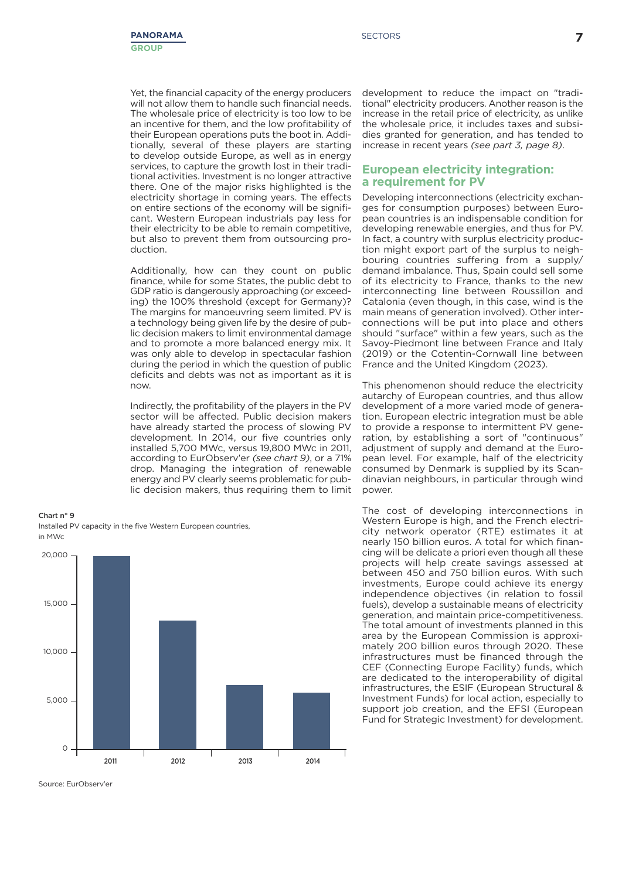Yet, the financial capacity of the energy producers will not allow them to handle such financial needs. The wholesale price of electricity is too low to be an incentive for them, and the low profitability of their European operations puts the boot in. Additionally, several of these players are starting to develop outside Europe, as well as in energy services, to capture the growth lost in their traditional activities. Investment is no longer attractive there. One of the major risks highlighted is the electricity shortage in coming years. The effects on entire sections of the economy will be significant. Western European industrials pay less for their electricity to be able to remain competitive, but also to prevent them from outsourcing production.

Additionally, how can they count on public finance, while for some States, the public debt to GDP ratio is dangerously approaching (or exceeding) the 100% threshold (except for Germany)? The margins for manoeuvring seem limited. PV is a technology being given life by the desire of public decision makers to limit environmental damage and to promote a more balanced energy mix. It was only able to develop in spectacular fashion during the period in which the question of public deficits and debts was not as important as it is now.

Indirectly, the profitability of the players in the PV sector will be affected. Public decision makers have already started the process of slowing PV development. In 2014, our five countries only installed 5,700 MWc, versus 19,800 MWc in 2011, according to EurObserv'er *(see chart 9)*, or a 71% drop. Managing the integration of renewable energy and PV clearly seems problematic for public decision makers, thus requiring them to limit

**Chart n° 9**



Installed PV capacity in the five Western European countries,

development to reduce the impact on "traditional" electricity producers. Another reason is the increase in the retail price of electricity, as unlike the wholesale price, it includes taxes and subsidies granted for generation, and has tended to increase in recent years *(see part 3, page 8)*.

#### **European electricity integration: a requirement for PV**

Developing interconnections (electricity exchanges for consumption purposes) between European countries is an indispensable condition for developing renewable energies, and thus for PV. In fact, a country with surplus electricity production might export part of the surplus to neighbouring countries suffering from a supply/ demand imbalance. Thus, Spain could sell some of its electricity to France, thanks to the new interconnecting line between Roussillon and Catalonia (even though, in this case, wind is the main means of generation involved). Other interconnections will be put into place and others should "surface" within a few years, such as the Savoy-Piedmont line between France and Italy (2019) or the Cotentin-Cornwall line between France and the United Kingdom (2023).

This phenomenon should reduce the electricity autarchy of European countries, and thus allow development of a more varied mode of generation. European electric integration must be able to provide a response to intermittent PV generation, by establishing a sort of "continuous" adjustment of supply and demand at the European level. For example, half of the electricity consumed by Denmark is supplied by its Scandinavian neighbours, in particular through wind power.

The cost of developing interconnections in Western Europe is high, and the French electricity network operator (RTE) estimates it at nearly 150 billion euros. A total for which financing will be delicate a priori even though all these projects will help create savings assessed at between 450 and 750 billion euros. With such investments, Europe could achieve its energy independence objectives (in relation to fossil fuels), develop a sustainable means of electricity generation, and maintain price-competitiveness. The total amount of investments planned in this area by the European Commission is approximately 200 billion euros through 2020. These infrastructures must be financed through the CEF (Connecting Europe Facility) funds, which are dedicated to the interoperability of digital infrastructures, the ESIF (European Structural & Investment Funds) for local action, especially to support job creation, and the EFSI (European Fund for Strategic Investment) for development.

Source: EurObserv'er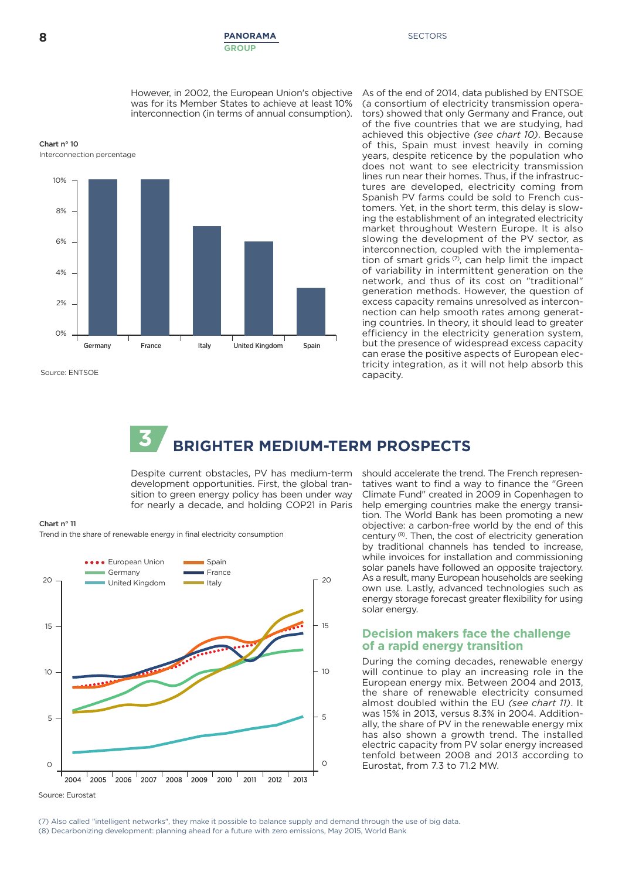#### **8 PANORAMA** SECTORS **GROUP**

However, in 2002, the European Union's objective was for its Member States to achieve at least 10% interconnection (in terms of annual consumption).





Source: ENTSOE

As of the end of 2014, data published by ENTSOE (a consortium of electricity transmission operators) showed that only Germany and France, out of the five countries that we are studying, had achieved this objective *(see chart 10)*. Because of this, Spain must invest heavily in coming years, despite reticence by the population who does not want to see electricity transmission lines run near their homes. Thus, if the infrastructures are developed, electricity coming from Spanish PV farms could be sold to French customers. Yet, in the short term, this delay is slowing the establishment of an integrated electricity market throughout Western Europe. It is also slowing the development of the PV sector, as interconnection, coupled with the implementation of smart grids  $\sigma$ , can help limit the impact of variability in intermittent generation on the network, and thus of its cost on "traditional" generation methods. However, the question of excess capacity remains unresolved as interconnection can help smooth rates among generating countries. In theory, it should lead to greater efficiency in the electricity generation system, but the presence of widespread excess capacity can erase the positive aspects of European electricity integration, as it will not help absorb this capacity.

# **3 BRIGHTER MEDIUM-TERM PROSPECTS**

Despite current obstacles, PV has medium-term development opportunities. First, the global transition to green energy policy has been under way for nearly a decade, and holding COP21 in Paris



Trend in the share of renewable energy in final electricity consumption



should accelerate the trend. The French representatives want to find a way to finance the "Green Climate Fund" created in 2009 in Copenhagen to help emerging countries make the energy transition. The World Bank has been promoting a new objective: a carbon-free world by the end of this century (8) . Then, the cost of electricity generation by traditional channels has tended to increase, while invoices for installation and commissioning solar panels have followed an opposite trajectory. As a result, many European households are seeking own use. Lastly, advanced technologies such as energy storage forecast greater flexibility for using solar energy.

### **Decision makers face the challenge of a rapid energy transition**

During the coming decades, renewable energy will continue to play an increasing role in the European energy mix. Between 2004 and 2013, the share of renewable electricity consumed almost doubled within the EU *(see chart 11)*. It was 15% in 2013, versus 8.3% in 2004. Additionally, the share of PV in the renewable energy mix has also shown a growth trend. The installed electric capacity from PV solar energy increased tenfold between 2008 and 2013 according to Eurostat, from 7.3 to 71.2 MW.

Source: Eurostat

(7) Also called "intelligent networks", they make it possible to balance supply and demand through the use of big data. (8) Decarbonizing development: planning ahead for a future with zero emissions, May 2015, World Bank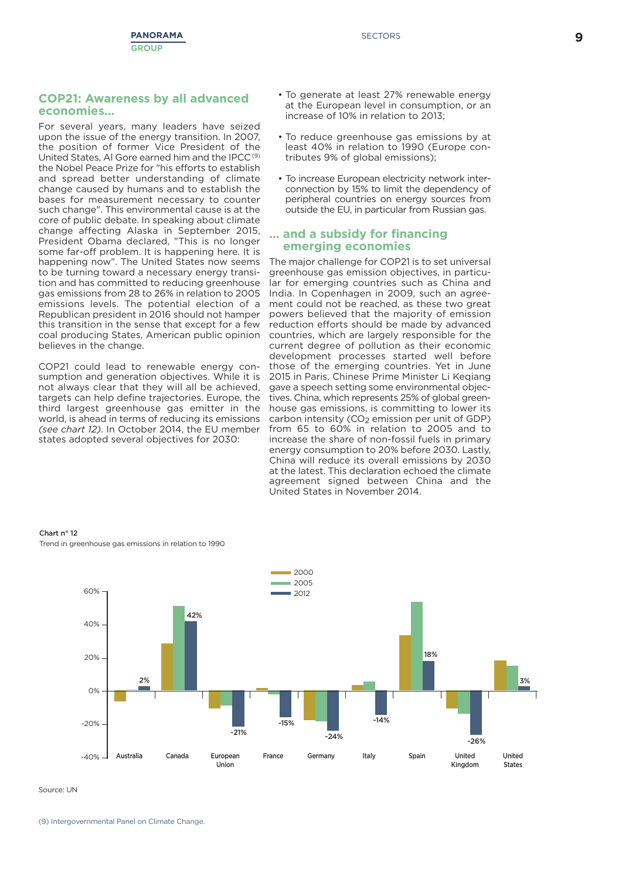#### **COP21: Awareness by all advanced economies...**

For several years, many leaders have seized upon the issue of the energy transition. In 2007, the position of former Vice President of the United States, AI Gore earned him and the IPCC<sup>(9)</sup> the Nobel Peace Prize for "his efforts to establish and spread better understanding of climate change caused by humans and to establish the bases for measurement necessary to counter such change". This environmental cause is at the core of public debate. In speaking about climate change affecting Alaska in September 2015, President Obama declared, "This is no longer some far-off problem. It is happening here. It is happening now". The United States now seems to be turning toward a necessary energy transition and has committed to reducing greenhouse gas emissions from 28 to 26% in relation to 2005 emissions levels. The potential election of a Republican president in 2016 should not hamper this transition in the sense that except for a few coal producing States, American public opinion believes in the change.

COP21 could lead to renewable energy consumption and generation objectives. While it is not always clear that they will all be achieved, targets can help define trajectories. Europe, the third largest greenhouse gas emitter in the world, is ahead in terms of reducing its emissions *(see chart 12)*. In October 2014, the EU member states adopted several objectives for 2030:

- To generate at least 27% renewable energy at the European level in consumption, or an increase of 10% in relation to 2013;
- To reduce greenhouse gas emissions by at least 40% in relation to 1990 (Europe contributes 9% of global emissions);
- To increase European electricity network interconnection by 15% to limit the dependency of peripheral countries on energy sources from outside the EU, in particular from Russian gas.

#### **... and a subsidy for financing emerging economies**

The major challenge for COP21 is to set universal greenhouse gas emission objectives, in particular for emerging countries such as China and India. In Copenhagen in 2009, such an agreement could not be reached, as these two great powers believed that the majority of emission reduction efforts should be made by advanced countries, which are largely responsible for the current degree of pollution as their economic development processes started well before those of the emerging countries. Yet in June 2015 in Paris, Chinese Prime Minister Li Keqiang gave a speech setting some environmental objectives. China, which represents 25% of global greenhouse gas emissions, is committing to lower its carbon intensity  $(CO<sub>2</sub>$  emission per unit of GDP) from 65 to 60% in relation to 2005 and to increase the share of non-fossil fuels in primary energy consumption to 20% before 2030. Lastly, China will reduce its overall emissions by 2030 at the latest. This declaration echoed the climate agreement signed between China and the United States in November 2014.



**Chart n° 12** Trend in greenhouse gas emissions in relation to 1990

Source: UN

(9) Intergovernmental Panel on Climate Change.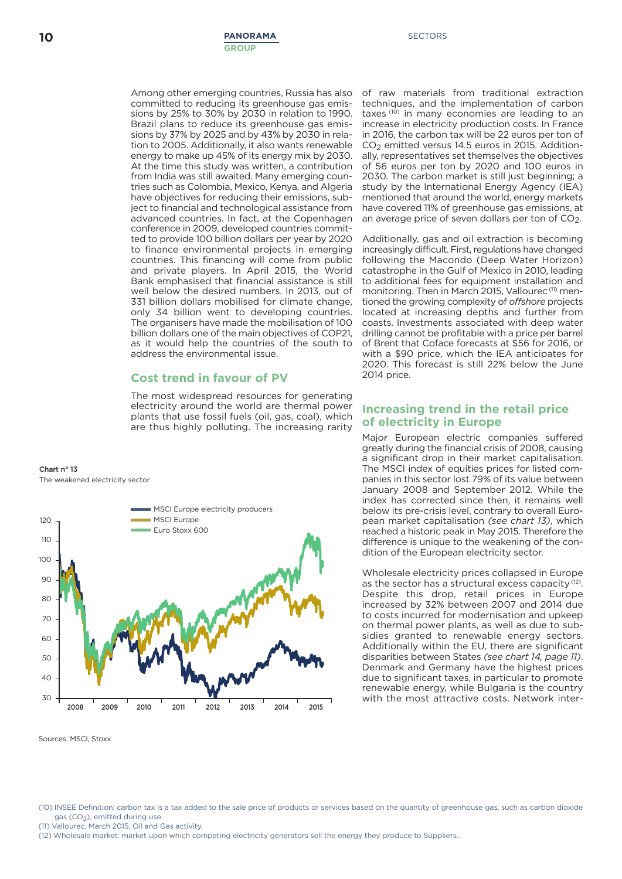Among other emerging countries, Russia has also committed to reducing its greenhouse gas emissions by 25% to 30% by 2030 in relation to 1990. Brazil plans to reduce its greenhouse gas emissions by 37% by 2025 and by 43% by 2030 in relation to 2005. Additionally, it also wants renewable energy to make up 45% of its energy mix by 2030. At the time this study was written, a contribution from India was still awaited. Many emerging countries such as Colombia, Mexico, Kenya, and Algeria have objectives for reducing their emissions, subject to financial and technological assistance from advanced countries. In fact, at the Copenhagen conference in 2009, developed countries committed to provide 100 billion dollars per year by 2020 to finance environmental projects in emerging countries. This financing will come from public and private players. In April 2015, the World Bank emphasised that financial assistance is still well below the desired numbers. In 2013, out of 331 billion dollars mobilised for climate change, only 34 billion went to developing countries. The organisers have made the mobilisation of 100 billion dollars one of the main objectives of COP21, as it would help the countries of the south to address the environmental issue.

## **Cost trend in favour of PV**

The most widespread resources for generating electricity around the world are thermal power plants that use fossil fuels (oil, gas, coal), which are thus highly polluting. The increasing rarity

**Chart n° 13** The weakened electricity sector



Sources: MSCI, Stoxx

of raw materials from traditional extraction techniques, and the implementation of carbon taxes (10) in many economies are leading to an increase in electricity production costs. In France in 2016, the carbon tax will be 22 euros per ton of CO<sub>2</sub> emitted versus 14.5 euros in 2015. Additionally, representatives set themselves the objectives of 56 euros per ton by 2020 and 100 euros in 2030. The carbon market is still just beginning; a study by the International Energy Agency (IEA) mentioned that around the world, energy markets have covered 11% of greenhouse gas emissions, at an average price of seven dollars per ton of CO<sub>2</sub>.

Additionally, gas and oil extraction is becoming increasingly difficult. First, regulations have changed following the Macondo (Deep Water Horizon) catastrophe in the Gulf of Mexico in 2010, leading to additional fees for equipment installation and monitoring. Then in March 2015, Vallourec<sup>(11)</sup> mentioned the growing complexity of *offshore* projects located at increasing depths and further from coasts. Investments associated with deep water drilling cannot be profitable with a price per barrel of Brent that Coface forecasts at \$56 for 2016, or with a \$90 price, which the IEA anticipates for 2020. This forecast is still 22% below the June 2014 price.

### **Increasing trend in the retail price of electricity in Europe**

Major European electric companies suffered greatly during the financial crisis of 2008, causing a significant drop in their market capitalisation. The MSCI index of equities prices for listed companies in this sector lost 79% of its value between January 2008 and September 2012. While the index has corrected since then, it remains well below its pre-crisis level, contrary to overall European market capitalisation *(see chart 13)*, which reached a historic peak in May 2015. Therefore the difference is unique to the weakening of the condition of the European electricity sector.

Wholesale electricity prices collapsed in Europe as the sector has a structural excess capacity<sup>(12)</sup>. Despite this drop, retail prices in Europe increased by 32% between 2007 and 2014 due to costs incurred for modernisation and upkeep on thermal power plants, as well as due to subsidies granted to renewable energy sectors. Additionally within the EU, there are significant disparities between States *(see chart 14, page 11)*. Denmark and Germany have the highest prices due to significant taxes, in particular to promote renewable energy, while Bulgaria is the country with the most attractive costs. Network inter-

(11) Vallourec, March 2015, Oil and Gas activity.

<sup>(10)</sup> INSEE Definition: carbon tax is a tax added to the sale price of products or services based on the quantity of greenhouse gas, such as carbon dioxide gas (CO<sub>2</sub>), emitted during use.

<sup>(12)</sup> Wholesale market: market upon which competing electricity generators sell the energy they produce to Suppliers.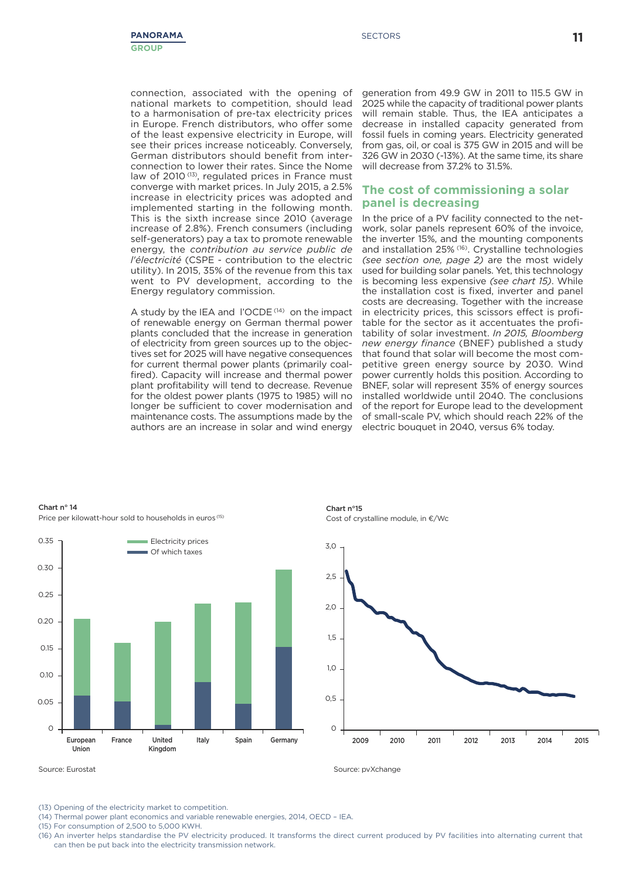connection, associated with the opening of national markets to competition, should lead to a harmonisation of pre-tax electricity prices in Europe. French distributors, who offer some of the least expensive electricity in Europe, will see their prices increase noticeably. Conversely, German distributors should benefit from interconnection to lower their rates. Since the Nome law of 2010<sup>(13)</sup>, regulated prices in France must converge with market prices. In July 2015, a 2.5% increase in electricity prices was adopted and implemented starting in the following month. This is the sixth increase since 2010 (average increase of 2.8%). French consumers (including self-generators) pay a tax to promote renewable energy, the *contribution au service public de l'électricité* (CSPE - contribution to the electric utility). In 2015, 35% of the revenue from this tax went to PV development, according to the Energy regulatory commission.

A study by the IEA and l'OCDE<sup>(14)</sup> on the impact of renewable energy on German thermal power plants concluded that the increase in generation of electricity from green sources up to the objectives set for 2025 will have negative consequences for current thermal power plants (primarily coalfired). Capacity will increase and thermal power plant profitability will tend to decrease. Revenue for the oldest power plants (1975 to 1985) will no longer be sufficient to cover modernisation and maintenance costs. The assumptions made by the authors are an increase in solar and wind energy

generation from 49.9 GW in 2011 to 115.5 GW in 2025 while the capacity of traditional power plants will remain stable. Thus, the IEA anticipates a decrease in installed capacity generated from fossil fuels in coming years. Electricity generated from gas, oil, or coal is 375 GW in 2015 and will be 326 GW in 2030 (-13%). At the same time, its share will decrease from 37.2% to 31.5%

### **The cost of commissioning a solar panel is decreasing**

In the price of a PV facility connected to the network, solar panels represent 60% of the invoice, the inverter 15%, and the mounting components and installation 25% (16) . Crystalline technologies *(see section one, page 2)* are the most widely used for building solar panels. Yet, this technology is becoming less expensive *(see chart 15)*. While the installation cost is fixed, inverter and panel costs are decreasing. Together with the increase in electricity prices, this scissors effect is profitable for the sector as it accentuates the profitability of solar investment. *In 2015, Bloomberg new energy finance* (BNEF) published a study that found that solar will become the most competitive green energy source by 2030. Wind power currently holds this position. According to BNEF, solar will represent 35% of energy sources installed worldwide until 2040. The conclusions of the report for Europe lead to the development of small-scale PV, which should reach 22% of the electric bouquet in 2040, versus 6% today.



**Chart n° 14** Price per kilowatt-hour sold to households in euros (15)

**Chart n°15** Cost of crystalline module, in  $E/Wc$ 



Source: Eurostat Source: pvXchange Source: pvXchange Source: pvXchange

(13) Opening of the electricity market to competition.

(14) Thermal power plant economics and variable renewable energies, 2014, OECD – IEA.

(15) For consumption of 2,500 to 5,000 KWH.

<sup>(16)</sup> An inverter helps standardise the PV electricity produced. It transforms the direct current produced by PV facilities into alternating current that can then be put back into the electricity transmission network.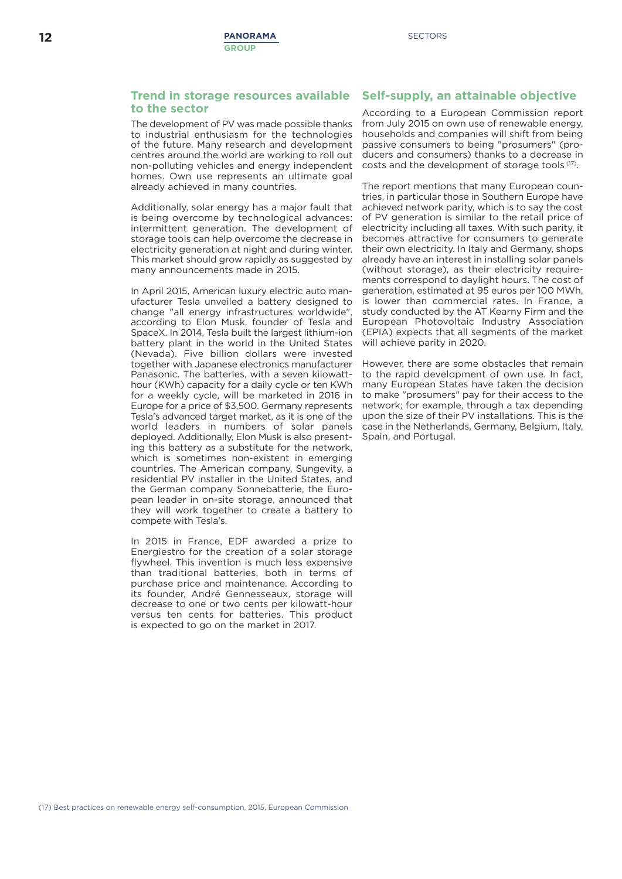### **Trend in storage resources available to the sector**

The development of PV was made possible thanks to industrial enthusiasm for the technologies of the future. Many research and development centres around the world are working to roll out non-polluting vehicles and energy independent homes. Own use represents an ultimate goal already achieved in many countries.

Additionally, solar energy has a major fault that is being overcome by technological advances: intermittent generation. The development of storage tools can help overcome the decrease in electricity generation at night and during winter. This market should grow rapidly as suggested by many announcements made in 2015.

In April 2015, American luxury electric auto manufacturer Tesla unveiled a battery designed to change "all energy infrastructures worldwide", according to Elon Musk, founder of Tesla and SpaceX. In 2014, Tesla built the largest lithium-ion battery plant in the world in the United States (Nevada). Five billion dollars were invested together with Japanese electronics manufacturer Panasonic. The batteries, with a seven kilowatthour (KWh) capacity for a daily cycle or ten KWh for a weekly cycle, will be marketed in 2016 in Europe for a price of \$3,500. Germany represents Tesla's advanced target market, as it is one of the world leaders in numbers of solar panels deployed. Additionally, Elon Musk is also presenting this battery as a substitute for the network, which is sometimes non-existent in emerging countries. The American company, Sungevity, a residential PV installer in the United States, and the German company Sonnebatterie, the European leader in on-site storage, announced that they will work together to create a battery to compete with Tesla's.

In 2015 in France, EDF awarded a prize to Energiestro for the creation of a solar storage flywheel. This invention is much less expensive than traditional batteries, both in terms of purchase price and maintenance. According to its founder, André Gennesseaux, storage will decrease to one or two cents per kilowatt-hour versus ten cents for batteries. This product is expected to go on the market in 2017.

## **Self-supply, an attainable objective**

According to a European Commission report from July 2015 on own use of renewable energy, households and companies will shift from being passive consumers to being "prosumers" (producers and consumers) thanks to a decrease in costs and the development of storage tools <sup>(17)</sup>.

The report mentions that many European countries, in particular those in Southern Europe have achieved network parity, which is to say the cost of PV generation is similar to the retail price of electricity including all taxes. With such parity, it becomes attractive for consumers to generate their own electricity. In Italy and Germany, shops already have an interest in installing solar panels (without storage), as their electricity requirements correspond to daylight hours. The cost of generation, estimated at 95 euros per 100 MWh, is lower than commercial rates. In France, a study conducted by the AT Kearny Firm and the European Photovoltaic Industry Association (EPIA) expects that all segments of the market will achieve parity in 2020.

However, there are some obstacles that remain to the rapid development of own use. In fact, many European States have taken the decision to make "prosumers" pay for their access to the network; for example, through a tax depending upon the size of their PV installations. This is the case in the Netherlands, Germany, Belgium, Italy, Spain, and Portugal.